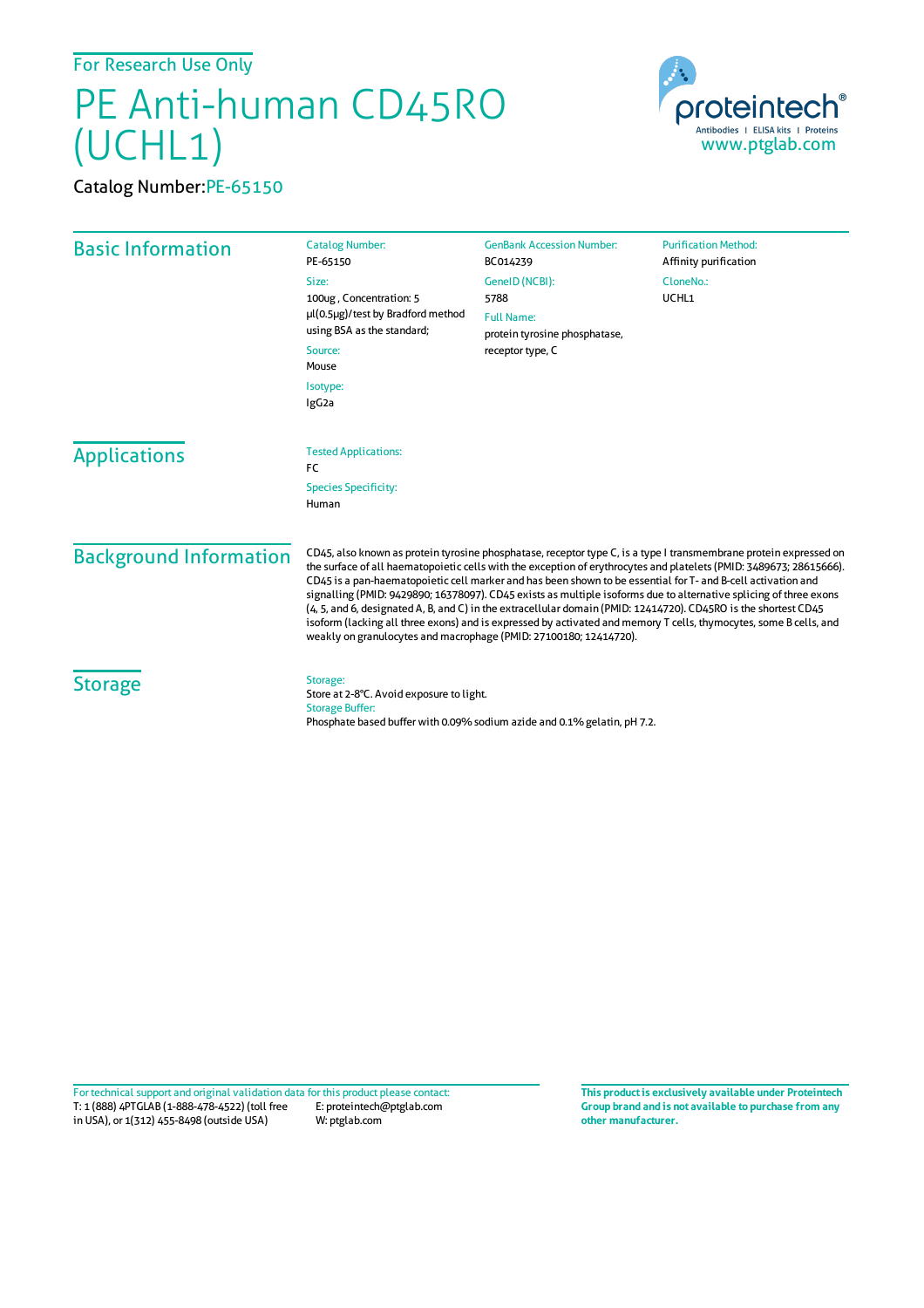For Research Use Only

## PE Anti-human CD45RO (UCHL1)

Catalog Number:PE-65150



| <b>Basic Information</b>             | <b>Catalog Number:</b><br>PE-65150                                                                                                                                                                                                                                                                                                                                                                                                                                                                                                                                                                                                                                                                                                                                                         | <b>GenBank Accession Number:</b><br>BC014239                             | <b>Purification Method:</b><br>Affinity purification |
|--------------------------------------|--------------------------------------------------------------------------------------------------------------------------------------------------------------------------------------------------------------------------------------------------------------------------------------------------------------------------------------------------------------------------------------------------------------------------------------------------------------------------------------------------------------------------------------------------------------------------------------------------------------------------------------------------------------------------------------------------------------------------------------------------------------------------------------------|--------------------------------------------------------------------------|------------------------------------------------------|
|                                      | Size:<br>100ug, Concentration: 5<br>µl(0.5µg)/test by Bradford method<br>using BSA as the standard;<br>Source:<br>Mouse<br>Isotype:<br>IgG <sub>2a</sub>                                                                                                                                                                                                                                                                                                                                                                                                                                                                                                                                                                                                                                   | GeneID (NCBI):                                                           | CloneNo.:                                            |
|                                      |                                                                                                                                                                                                                                                                                                                                                                                                                                                                                                                                                                                                                                                                                                                                                                                            | 5788                                                                     | UCHL1                                                |
|                                      |                                                                                                                                                                                                                                                                                                                                                                                                                                                                                                                                                                                                                                                                                                                                                                                            | <b>Full Name:</b><br>protein tyrosine phosphatase,<br>receptor type, C   |                                                      |
|                                      |                                                                                                                                                                                                                                                                                                                                                                                                                                                                                                                                                                                                                                                                                                                                                                                            |                                                                          |                                                      |
|                                      |                                                                                                                                                                                                                                                                                                                                                                                                                                                                                                                                                                                                                                                                                                                                                                                            |                                                                          |                                                      |
| <b>Species Specificity:</b><br>Human |                                                                                                                                                                                                                                                                                                                                                                                                                                                                                                                                                                                                                                                                                                                                                                                            |                                                                          |                                                      |
| <b>Background Information</b>        | CD45, also known as protein tyrosine phosphatase, receptor type C, is a type I transmembrane protein expressed on<br>the surface of all haematopoietic cells with the exception of erythrocytes and platelets (PMID: 3489673; 28615666).<br>CD45 is a pan-haematopoietic cell marker and has been shown to be essential for T- and B-cell activation and<br>signalling (PMID: 9429890; 16378097). CD45 exists as multiple isoforms due to alternative splicing of three exons<br>(4, 5, and 6, designated A, B, and C) in the extracellular domain (PMID: 12414720). CD45RO is the shortest CD45<br>isoform (lacking all three exons) and is expressed by activated and memory T cells, thymocytes, some B cells, and<br>weakly on granulocytes and macrophage (PMID: 27100180; 12414720). |                                                                          |                                                      |
| <b>Storage</b>                       | Storage:<br>Store at 2-8°C. Avoid exposure to light.<br><b>Storage Buffer:</b>                                                                                                                                                                                                                                                                                                                                                                                                                                                                                                                                                                                                                                                                                                             | Phosphate based buffer with 0.09% sodium azide and 0.1% gelatin, pH 7.2. |                                                      |

T: 1 (888) 4PTGLAB (1-888-478-4522) (toll free in USA), or 1(312) 455-8498 (outside USA) E: proteintech@ptglab.com W: ptglab.com Fortechnical support and original validation data forthis product please contact: **This productis exclusively available under Proteintech**

**Group brand and is not available to purchase from any other manufacturer.**